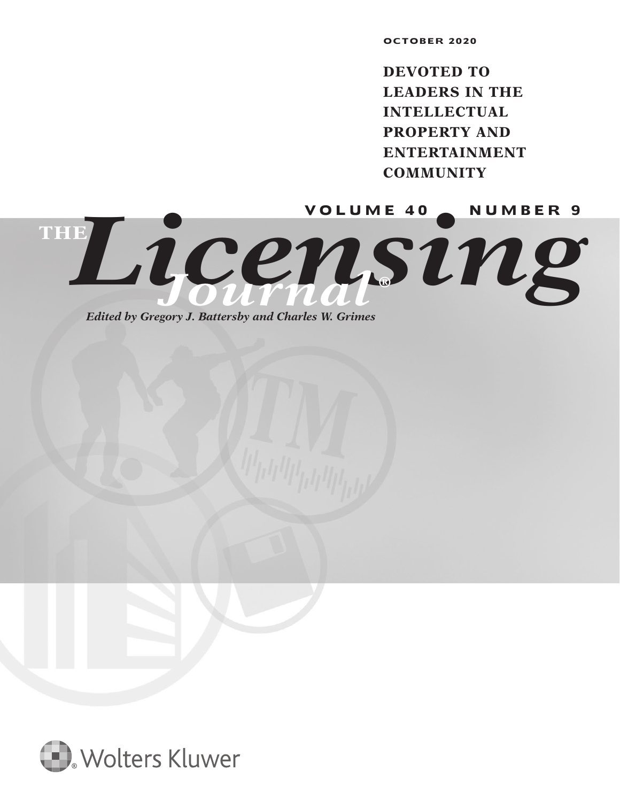**OCTOBER 2020**

**DEVOTED TO LEADERS IN THE INTELLECTUAL PROPERTY AND ENTERTAINMENT COMMUNITY**

Licensing **THE** *Journal* **®**

*Edited by Gregory J. Battersby and Charles W. Grimes*

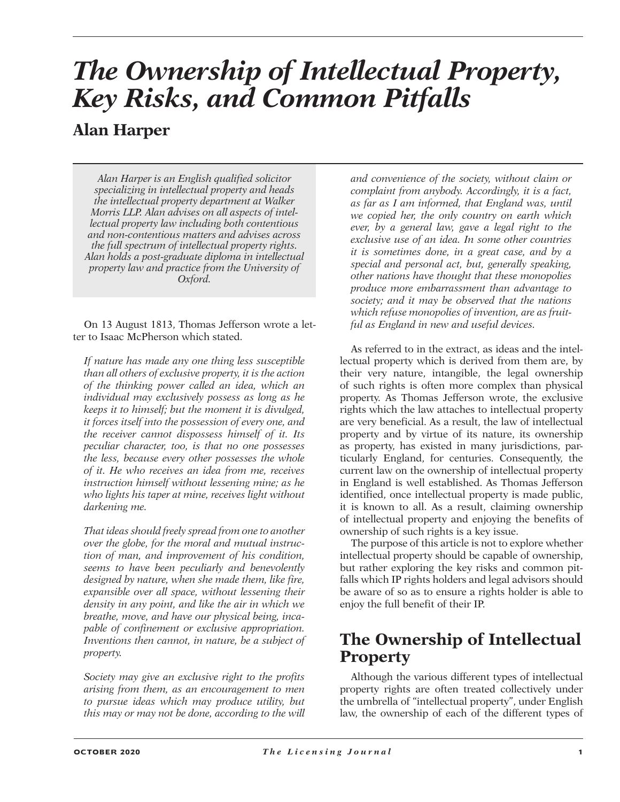# *The Ownership of Intellectual Property, Key Risks, and Common Pitfalls*

# **Alan Harper**

*Alan Harper is an English qualified solicitor specializing in intellectual property and heads the intellectual property department at Walker Morris LLP. Alan advises on all aspects of intellectual property law including both contentious and non-contentious matters and advises across the full spectrum of intellectual property rights. Alan holds a post-graduate diploma in intellectual property law and practice from the University of Oxford.*

On 13 August 1813, Thomas Jefferson wrote a letter to Isaac McPherson which stated.

*If nature has made any one thing less susceptible than all others of exclusive property, it is the action of the thinking power called an idea, which an individual may exclusively possess as long as he keeps it to himself; but the moment it is divulged, it forces itself into the possession of every one, and the receiver cannot dispossess himself of it. Its peculiar character, too, is that no one possesses the less, because every other possesses the whole of it. He who receives an idea from me, receives instruction himself without lessening mine; as he who lights his taper at mine, receives light without darkening me.*

*That ideas should freely spread from one to another over the globe, for the moral and mutual instruction of man, and improvement of his condition, seems to have been peculiarly and benevolently designed by nature, when she made them, like fire, expansible over all space, without lessening their density in any point, and like the air in which we breathe, move, and have our physical being, incapable of confinement or exclusive appropriation. Inventions then cannot, in nature, be a subject of property.*

*Society may give an exclusive right to the profits arising from them, as an encouragement to men to pursue ideas which may produce utility, but this may or may not be done, according to the will*  *and convenience of the society, without claim or complaint from anybody. Accordingly, it is a fact, as far as I am informed, that England was, until we copied her, the only country on earth which ever, by a general law, gave a legal right to the exclusive use of an idea. In some other countries it is sometimes done, in a great case, and by a special and personal act, but, generally speaking, other nations have thought that these monopolies produce more embarrassment than advantage to society; and it may be observed that the nations which refuse monopolies of invention, are as fruitful as England in new and useful devices.*

As referred to in the extract, as ideas and the intellectual property which is derived from them are, by their very nature, intangible, the legal ownership of such rights is often more complex than physical property. As Thomas Jefferson wrote, the exclusive rights which the law attaches to intellectual property are very beneficial. As a result, the law of intellectual property and by virtue of its nature, its ownership as property, has existed in many jurisdictions, particularly England, for centuries. Consequently, the current law on the ownership of intellectual property in England is well established. As Thomas Jefferson identified, once intellectual property is made public, it is known to all. As a result, claiming ownership of intellectual property and enjoying the benefits of ownership of such rights is a key issue.

The purpose of this article is not to explore whether intellectual property should be capable of ownership, but rather exploring the key risks and common pitfalls which IP rights holders and legal advisors should be aware of so as to ensure a rights holder is able to enjoy the full benefit of their IP.

# **The Ownership of Intellectual Property**

Although the various different types of intellectual property rights are often treated collectively under the umbrella of "intellectual property", under English law, the ownership of each of the different types of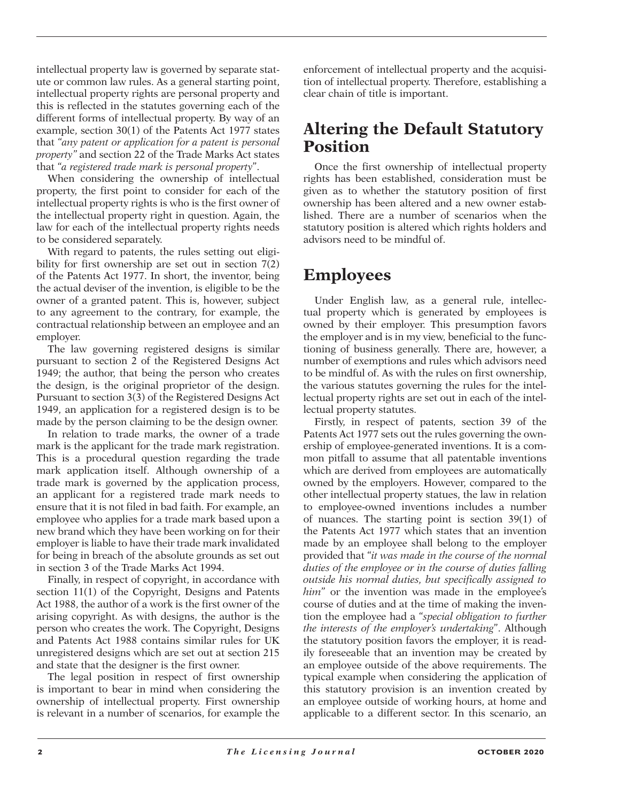intellectual property law is governed by separate statute or common law rules. As a general starting point, intellectual property rights are personal property and this is reflected in the statutes governing each of the different forms of intellectual property. By way of an example, section 30(1) of the Patents Act 1977 states that "*any patent or application for a patent is personal property"* and section 22 of the Trade Marks Act states that "*a registered trade mark is personal property*".

When considering the ownership of intellectual property, the first point to consider for each of the intellectual property rights is who is the first owner of the intellectual property right in question. Again, the law for each of the intellectual property rights needs to be considered separately.

With regard to patents, the rules setting out eligibility for first ownership are set out in section 7(2) of the Patents Act 1977. In short, the inventor, being the actual deviser of the invention, is eligible to be the owner of a granted patent. This is, however, subject to any agreement to the contrary, for example, the contractual relationship between an employee and an employer.

The law governing registered designs is similar pursuant to section 2 of the Registered Designs Act 1949; the author, that being the person who creates the design, is the original proprietor of the design. Pursuant to section 3(3) of the Registered Designs Act 1949, an application for a registered design is to be made by the person claiming to be the design owner.

In relation to trade marks, the owner of a trade mark is the applicant for the trade mark registration. This is a procedural question regarding the trade mark application itself. Although ownership of a trade mark is governed by the application process, an applicant for a registered trade mark needs to ensure that it is not filed in bad faith. For example, an employee who applies for a trade mark based upon a new brand which they have been working on for their employer is liable to have their trade mark invalidated for being in breach of the absolute grounds as set out in section 3 of the Trade Marks Act 1994.

Finally, in respect of copyright, in accordance with section 11(1) of the Copyright, Designs and Patents Act 1988, the author of a work is the first owner of the arising copyright. As with designs, the author is the person who creates the work. The Copyright, Designs and Patents Act 1988 contains similar rules for UK unregistered designs which are set out at section 215 and state that the designer is the first owner.

The legal position in respect of first ownership is important to bear in mind when considering the ownership of intellectual property. First ownership is relevant in a number of scenarios, for example the

enforcement of intellectual property and the acquisition of intellectual property. Therefore, establishing a clear chain of title is important.

### **Altering the Default Statutory Position**

Once the first ownership of intellectual property rights has been established, consideration must be given as to whether the statutory position of first ownership has been altered and a new owner established. There are a number of scenarios when the statutory position is altered which rights holders and advisors need to be mindful of.

# **Employees**

Under English law, as a general rule, intellectual property which is generated by employees is owned by their employer. This presumption favors the employer and is in my view, beneficial to the functioning of business generally. There are, however, a number of exemptions and rules which advisors need to be mindful of. As with the rules on first ownership, the various statutes governing the rules for the intellectual property rights are set out in each of the intellectual property statutes.

Firstly, in respect of patents, section 39 of the Patents Act 1977 sets out the rules governing the ownership of employee-generated inventions. It is a common pitfall to assume that all patentable inventions which are derived from employees are automatically owned by the employers. However, compared to the other intellectual property statues, the law in relation to employee-owned inventions includes a number of nuances. The starting point is section 39(1) of the Patents Act 1977 which states that an invention made by an employee shall belong to the employer provided that "*it was made in the course of the normal duties of the employee or in the course of duties falling outside his normal duties, but specifically assigned to him*" or the invention was made in the employee's course of duties and at the time of making the invention the employee had a "*special obligation to further the interests of the employer's undertaking*". Although the statutory position favors the employer, it is readily foreseeable that an invention may be created by an employee outside of the above requirements. The typical example when considering the application of this statutory provision is an invention created by an employee outside of working hours, at home and applicable to a different sector. In this scenario, an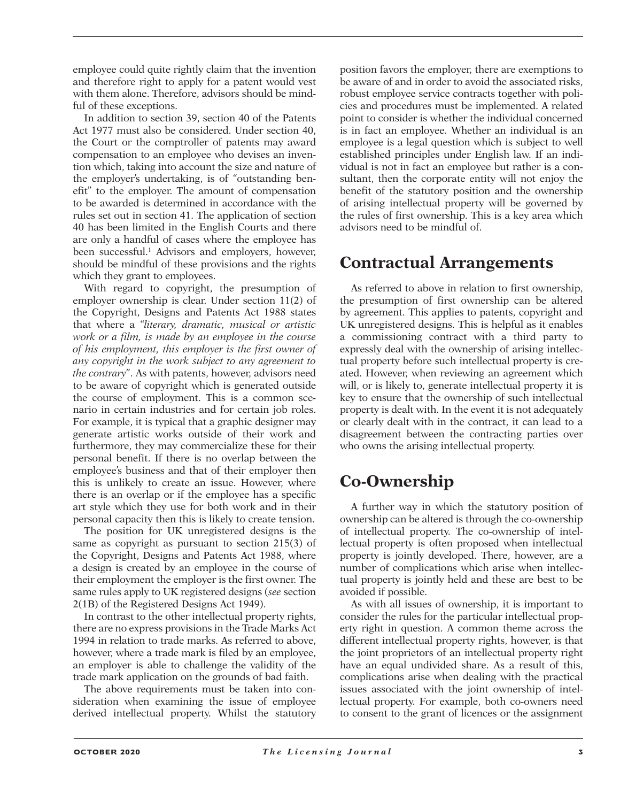employee could quite rightly claim that the invention and therefore right to apply for a patent would vest with them alone. Therefore, advisors should be mindful of these exceptions.

In addition to section 39, section 40 of the Patents Act 1977 must also be considered. Under section 40, the Court or the comptroller of patents may award compensation to an employee who devises an invention which, taking into account the size and nature of the employer's undertaking, is of "outstanding benefit" to the employer. The amount of compensation to be awarded is determined in accordance with the rules set out in section 41. The application of section 40 has been limited in the English Courts and there are only a handful of cases where the employee has been successful.<sup>1</sup> Advisors and employers, however, should be mindful of these provisions and the rights which they grant to employees.

With regard to copyright, the presumption of employer ownership is clear. Under section 11(2) of the Copyright, Designs and Patents Act 1988 states that where a "*literary, dramatic, musical or artistic work or a film, is made by an employee in the course of his employment, this employer is the first owner of any copyright in the work subject to any agreement to the contrary*". As with patents, however, advisors need to be aware of copyright which is generated outside the course of employment. This is a common scenario in certain industries and for certain job roles. For example, it is typical that a graphic designer may generate artistic works outside of their work and furthermore, they may commercialize these for their personal benefit. If there is no overlap between the employee's business and that of their employer then this is unlikely to create an issue. However, where there is an overlap or if the employee has a specific art style which they use for both work and in their personal capacity then this is likely to create tension.

The position for UK unregistered designs is the same as copyright as pursuant to section 215(3) of the Copyright, Designs and Patents Act 1988, where a design is created by an employee in the course of their employment the employer is the first owner. The same rules apply to UK registered designs (*see* section 2(1B) of the Registered Designs Act 1949).

In contrast to the other intellectual property rights, there are no express provisions in the Trade Marks Act 1994 in relation to trade marks. As referred to above, however, where a trade mark is filed by an employee, an employer is able to challenge the validity of the trade mark application on the grounds of bad faith.

The above requirements must be taken into consideration when examining the issue of employee derived intellectual property. Whilst the statutory

position favors the employer, there are exemptions to be aware of and in order to avoid the associated risks, robust employee service contracts together with policies and procedures must be implemented. A related point to consider is whether the individual concerned is in fact an employee. Whether an individual is an employee is a legal question which is subject to well established principles under English law. If an individual is not in fact an employee but rather is a consultant, then the corporate entity will not enjoy the benefit of the statutory position and the ownership of arising intellectual property will be governed by the rules of first ownership. This is a key area which advisors need to be mindful of.

# **Contractual Arrangements**

As referred to above in relation to first ownership, the presumption of first ownership can be altered by agreement. This applies to patents, copyright and UK unregistered designs. This is helpful as it enables a commissioning contract with a third party to expressly deal with the ownership of arising intellectual property before such intellectual property is created. However, when reviewing an agreement which will, or is likely to, generate intellectual property it is key to ensure that the ownership of such intellectual property is dealt with. In the event it is not adequately or clearly dealt with in the contract, it can lead to a disagreement between the contracting parties over who owns the arising intellectual property.

# **Co-Ownership**

A further way in which the statutory position of ownership can be altered is through the co-ownership of intellectual property. The co-ownership of intellectual property is often proposed when intellectual property is jointly developed. There, however, are a number of complications which arise when intellectual property is jointly held and these are best to be avoided if possible.

As with all issues of ownership, it is important to consider the rules for the particular intellectual property right in question. A common theme across the different intellectual property rights, however, is that the joint proprietors of an intellectual property right have an equal undivided share. As a result of this, complications arise when dealing with the practical issues associated with the joint ownership of intellectual property. For example, both co-owners need to consent to the grant of licences or the assignment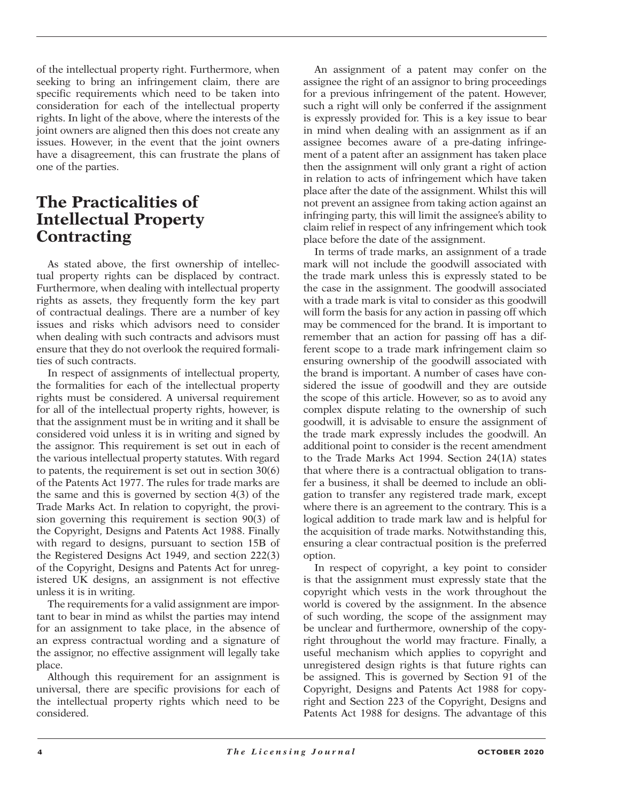of the intellectual property right. Furthermore, when seeking to bring an infringement claim, there are specific requirements which need to be taken into consideration for each of the intellectual property rights. In light of the above, where the interests of the joint owners are aligned then this does not create any issues. However, in the event that the joint owners have a disagreement, this can frustrate the plans of one of the parties.

## **The Practicalities of Intellectual Property Contracting**

As stated above, the first ownership of intellectual property rights can be displaced by contract. Furthermore, when dealing with intellectual property rights as assets, they frequently form the key part of contractual dealings. There are a number of key issues and risks which advisors need to consider when dealing with such contracts and advisors must ensure that they do not overlook the required formalities of such contracts.

In respect of assignments of intellectual property, the formalities for each of the intellectual property rights must be considered. A universal requirement for all of the intellectual property rights, however, is that the assignment must be in writing and it shall be considered void unless it is in writing and signed by the assignor. This requirement is set out in each of the various intellectual property statutes. With regard to patents, the requirement is set out in section 30(6) of the Patents Act 1977. The rules for trade marks are the same and this is governed by section 4(3) of the Trade Marks Act. In relation to copyright, the provision governing this requirement is section 90(3) of the Copyright, Designs and Patents Act 1988. Finally with regard to designs, pursuant to section 15B of the Registered Designs Act 1949, and section 222(3) of the Copyright, Designs and Patents Act for unregistered UK designs, an assignment is not effective unless it is in writing.

The requirements for a valid assignment are important to bear in mind as whilst the parties may intend for an assignment to take place, in the absence of an express contractual wording and a signature of the assignor, no effective assignment will legally take place.

Although this requirement for an assignment is universal, there are specific provisions for each of the intellectual property rights which need to be considered.

An assignment of a patent may confer on the assignee the right of an assignor to bring proceedings for a previous infringement of the patent. However, such a right will only be conferred if the assignment is expressly provided for. This is a key issue to bear in mind when dealing with an assignment as if an assignee becomes aware of a pre-dating infringement of a patent after an assignment has taken place then the assignment will only grant a right of action in relation to acts of infringement which have taken place after the date of the assignment. Whilst this will not prevent an assignee from taking action against an infringing party, this will limit the assignee's ability to claim relief in respect of any infringement which took place before the date of the assignment.

In terms of trade marks, an assignment of a trade mark will not include the goodwill associated with the trade mark unless this is expressly stated to be the case in the assignment. The goodwill associated with a trade mark is vital to consider as this goodwill will form the basis for any action in passing off which may be commenced for the brand. It is important to remember that an action for passing off has a different scope to a trade mark infringement claim so ensuring ownership of the goodwill associated with the brand is important. A number of cases have considered the issue of goodwill and they are outside the scope of this article. However, so as to avoid any complex dispute relating to the ownership of such goodwill, it is advisable to ensure the assignment of the trade mark expressly includes the goodwill. An additional point to consider is the recent amendment to the Trade Marks Act 1994. Section 24(1A) states that where there is a contractual obligation to transfer a business, it shall be deemed to include an obligation to transfer any registered trade mark, except where there is an agreement to the contrary. This is a logical addition to trade mark law and is helpful for the acquisition of trade marks. Notwithstanding this, ensuring a clear contractual position is the preferred option.

In respect of copyright, a key point to consider is that the assignment must expressly state that the copyright which vests in the work throughout the world is covered by the assignment. In the absence of such wording, the scope of the assignment may be unclear and furthermore, ownership of the copyright throughout the world may fracture. Finally, a useful mechanism which applies to copyright and unregistered design rights is that future rights can be assigned. This is governed by Section 91 of the Copyright, Designs and Patents Act 1988 for copyright and Section 223 of the Copyright, Designs and Patents Act 1988 for designs. The advantage of this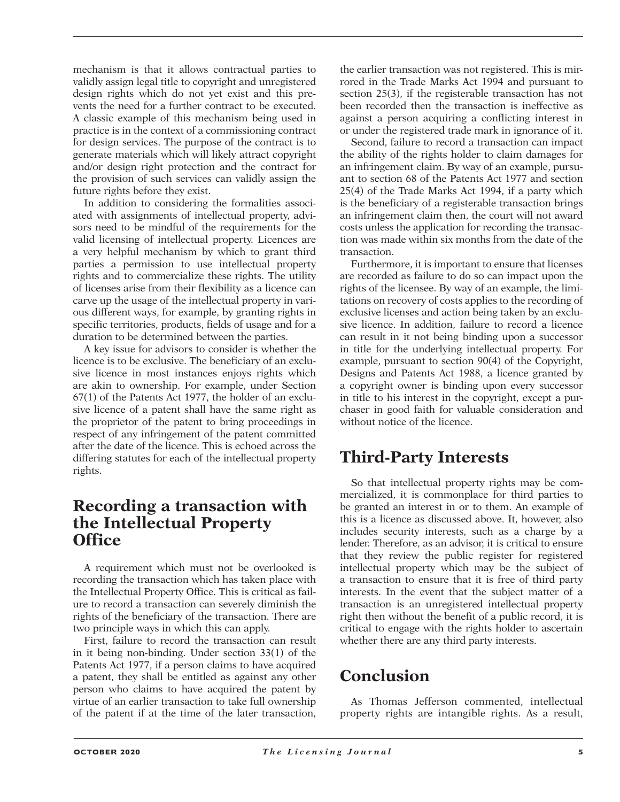mechanism is that it allows contractual parties to validly assign legal title to copyright and unregistered design rights which do not yet exist and this prevents the need for a further contract to be executed. A classic example of this mechanism being used in practice is in the context of a commissioning contract for design services. The purpose of the contract is to generate materials which will likely attract copyright and/or design right protection and the contract for the provision of such services can validly assign the future rights before they exist.

In addition to considering the formalities associated with assignments of intellectual property, advisors need to be mindful of the requirements for the valid licensing of intellectual property. Licences are a very helpful mechanism by which to grant third parties a permission to use intellectual property rights and to commercialize these rights. The utility of licenses arise from their flexibility as a licence can carve up the usage of the intellectual property in various different ways, for example, by granting rights in specific territories, products, fields of usage and for a duration to be determined between the parties.

A key issue for advisors to consider is whether the licence is to be exclusive. The beneficiary of an exclusive licence in most instances enjoys rights which are akin to ownership. For example, under Section 67(1) of the Patents Act 1977, the holder of an exclusive licence of a patent shall have the same right as the proprietor of the patent to bring proceedings in respect of any infringement of the patent committed after the date of the licence. This is echoed across the differing statutes for each of the intellectual property rights.

### **Recording a transaction with the Intellectual Property Office**

A requirement which must not be overlooked is recording the transaction which has taken place with the Intellectual Property Office. This is critical as failure to record a transaction can severely diminish the rights of the beneficiary of the transaction. There are two principle ways in which this can apply.

First, failure to record the transaction can result in it being non-binding. Under section 33(1) of the Patents Act 1977, if a person claims to have acquired a patent, they shall be entitled as against any other person who claims to have acquired the patent by virtue of an earlier transaction to take full ownership of the patent if at the time of the later transaction,

the earlier transaction was not registered. This is mirrored in the Trade Marks Act 1994 and pursuant to section 25(3), if the registerable transaction has not been recorded then the transaction is ineffective as against a person acquiring a conflicting interest in or under the registered trade mark in ignorance of it.

Second, failure to record a transaction can impact the ability of the rights holder to claim damages for an infringement claim. By way of an example, pursuant to section 68 of the Patents Act 1977 and section 25(4) of the Trade Marks Act 1994, if a party which is the beneficiary of a registerable transaction brings an infringement claim then, the court will not award costs unless the application for recording the transaction was made within six months from the date of the transaction.

Furthermore, it is important to ensure that licenses are recorded as failure to do so can impact upon the rights of the licensee. By way of an example, the limitations on recovery of costs applies to the recording of exclusive licenses and action being taken by an exclusive licence. In addition, failure to record a licence can result in it not being binding upon a successor in title for the underlying intellectual property. For example, pursuant to section 90(4) of the Copyright, Designs and Patents Act 1988, a licence granted by a copyright owner is binding upon every successor in title to his interest in the copyright, except a purchaser in good faith for valuable consideration and without notice of the licence.

# **Third-Party Interests**

So that intellectual property rights may be commercialized, it is commonplace for third parties to be granted an interest in or to them. An example of this is a licence as discussed above. It, however, also includes security interests, such as a charge by a lender. Therefore, as an advisor, it is critical to ensure that they review the public register for registered intellectual property which may be the subject of a transaction to ensure that it is free of third party interests. In the event that the subject matter of a transaction is an unregistered intellectual property right then without the benefit of a public record, it is critical to engage with the rights holder to ascertain whether there are any third party interests.

# **Conclusion**

As Thomas Jefferson commented, intellectual property rights are intangible rights. As a result,